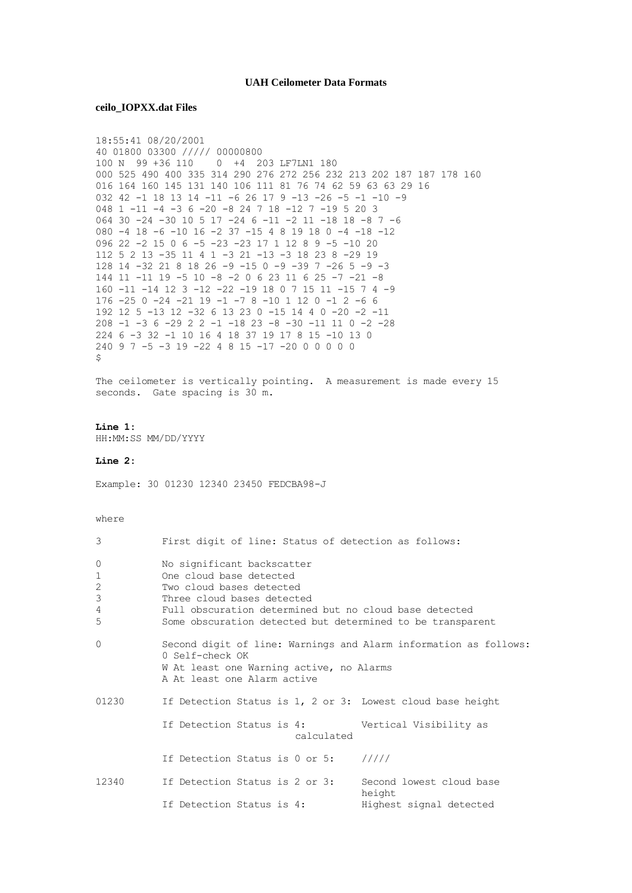## **UAH Ceilometer Data Formats**

ceilo\_IOPXX.dat Files

```
18:55:41 08/20/2001
40 01800 03300 ///// 00000800
100 N 99 +36 110 0 +4 203 LF7LN1 180
000 525 490 400 335 314 290 276 272 256 232 213 202 187 187 178 160
016 164 160 145 131 140 106 111 81 76 74 62 59 63 63 29 16
032 42 -1 18 13 14 -11 -6 26 17 9 -13 -26 -5 -1 -10 -9
048 1 -11 -4 -3 6 -20 -8 24 7 18 -12 7 -19 5 20 3
064 30 -24 -30 10 5 17 -24 6 -11 -2 11 -18 18 -8 7 -6
080 -4 18 -6 -10 16 -2 37 -15 4 8 19 18 0 -4 -18 -12<br>096 22 -2 15 0 6 -5 -23 -23 17 1 12 8 9 -5 -10 20
112 5 2 13 -35 11 4 1 -3 21 -13 -3 18 23 8 -29 19
128 14 -32 21 8 18 26 -9 -15 0 -9 -39 7 -26 5 -9 -3
144 11 -11 19 -5 10 -8 -2 0 6 23 11 6 25 -7 -21 -8
160 -11 -14 12 3 -12 -22 -19 18 0 7 15 11 -15 7 4 -9
176 -25 0 -24 -21 19 -1 -7 8 -10 1 12 0 -1 2 -6 6
192 12 5 -13 12 -32 6 13 23 0 -15 14 4 0 -20 -2 -11
208 -1 -3 6 -29 2 2 -1 -18 23 -8 -30 -11 11 0 -2 -28
224 6 -3 32 -1 10 16 4 18 37 19 17 8 15 -10 13 0
240 9 7 -5 -3 19 -22 4 8 15 -17 -20 0 0 0 0 0
The ceilometer is vertically pointing. A measurement is made every 15
seconds. Gate spacing is 30 m.
Line 1:
HH:MM:SS MM/DD/YYYY
Line 2:Example: 30 01230 12340 23450 FEDCBA98-J
where
3
            First digit of line: Status of detection as follows:
\capNo significant backscatter
           One cloud base detected
\mathbf{1}\overline{c}Two cloud bases detected
\mathcal{S}Three cloud bases detected
           Full obscuration determined but no cloud base detected
\overline{4}\overline{5}Some obscuration detected but determined to be transparent
\OmegaSecond digit of line: Warnings and Alarm information as follows:
            0 Self-check OK
            W At least one Warning active, no Alarms
            A At least one Alarm active
            If Detection Status is 1, 2 or 3: Lowest cloud base height
01230
            If Detection Status is 4:
                                                Vertical Visibility as
                                    calculated
                                                 11111If Detection Status is 0 or 5:
12340
            If Detection Status is 2 or 3:
                                                 Second lowest cloud base
                                                 height
            If Detection Status is 4:
                                                Highest signal detected
```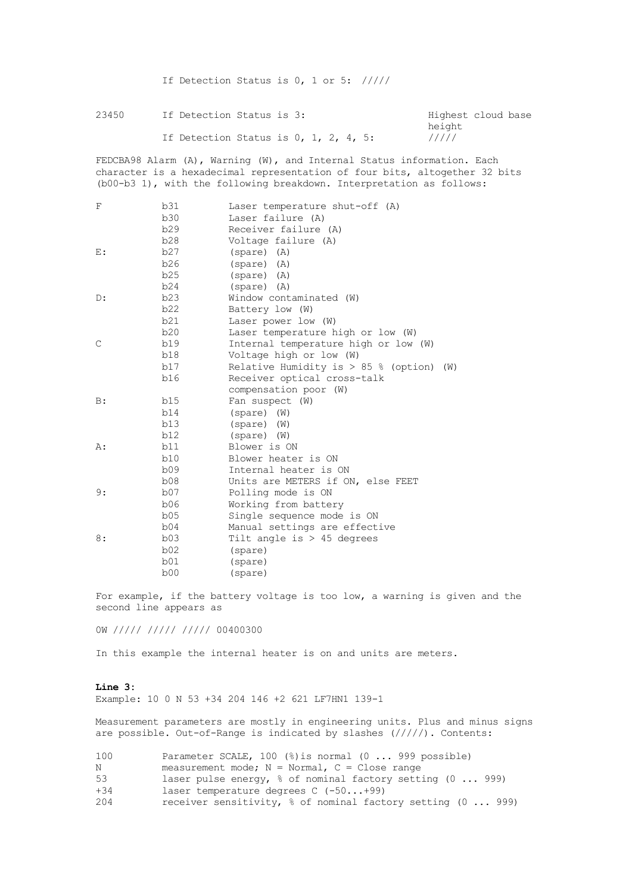If Detection Status is 0, 1 or 5: /////

23450 If Detection Status is 3: The Highest cloud base

height<br>/////

If Detection Status is  $0, 1, 2, 4, 5$ :

FEDCBA98 Alarm (A), Warning (W), and Internal Status information. Each character is a hexadecimal representation of four bits, altogether 32 bits (b00-b3 1), with the following breakdown. Interpretation as follows:

| $\mathbf{F}% _{0}$ | b31 | Laser temperature shut-off (A)                |
|--------------------|-----|-----------------------------------------------|
|                    | b30 | Laser failure (A)                             |
|                    | b29 | Receiver failure (A)                          |
|                    | b28 | Voltage failure (A)                           |
| $E$ :              | b27 | $(spare)$ $(A)$                               |
|                    | b26 | $(spare)$ $(A)$                               |
|                    | b25 | (spare) (A)                                   |
|                    | b24 | $(spare)$ $(A)$                               |
| D:                 | b23 | Window contaminated (W)                       |
|                    | b22 | Battery low (W)                               |
|                    | b21 | Laser power low (W)                           |
|                    | b20 | Laser temperature high or low (W)             |
| $\mathsf{C}$       | b19 | Internal temperature high or low (W)          |
|                    | b18 | Voltage high or low (W)                       |
|                    | b17 | Relative Humidity is $> 85$ % (option)<br>(W) |
|                    | b16 | Receiver optical cross-talk                   |
|                    |     | compensation poor (W)                         |
| B:                 | b15 | Fan suspect (W)                               |
|                    | b14 | $(spare)$ $(W)$                               |
|                    | b13 | $(spare)$ (W)                                 |
|                    | b12 | $(spare)$ $(W)$                               |
| A:                 | b11 | Blower is ON                                  |
|                    | b10 | Blower heater is ON                           |
|                    | b09 | Internal heater is ON                         |
|                    | b08 | Units are METERS if ON, else FEET             |
| 9:                 | b07 | Polling mode is ON                            |
|                    | b06 | Working from battery                          |
|                    | b05 | Single sequence mode is ON                    |
|                    | b04 | Manual settings are effective                 |
| 8:                 | b03 | Tilt angle is $> 45$ degrees                  |
|                    | b02 | (spare)                                       |
|                    | b01 | (spare)                                       |
|                    | b00 | (spare)                                       |

For example, if the battery voltage is too low, a warning is given and the second line appears as

0W ///// ///// ///// 00400300

In this example the internal heater is on and units are meters.

## **Line 3:** Example: 10 0 N 53 +34 204 146 +2 621 LF7HN1 139-1

Measurement parameters are mostly in engineering units. Plus and minus signs are possible. Out-of-Range is indicated by slashes (/////). Contents:

| 100   | Parameter SCALE, 100 $(\%)$ is normal $(0 \ldots 999$ possible)        |
|-------|------------------------------------------------------------------------|
| Ν     | measurement mode; $N = Normal$ , $C = Close$ range                     |
| 53    | laser pulse energy, $\frac{1}{2}$ of nominal factory setting (0 999)   |
| $+34$ | laser temperature degrees $C$ (-50+99)                                 |
| 204   | receiver sensitivity, $\frac{1}{6}$ of nominal factory setting (0 999) |